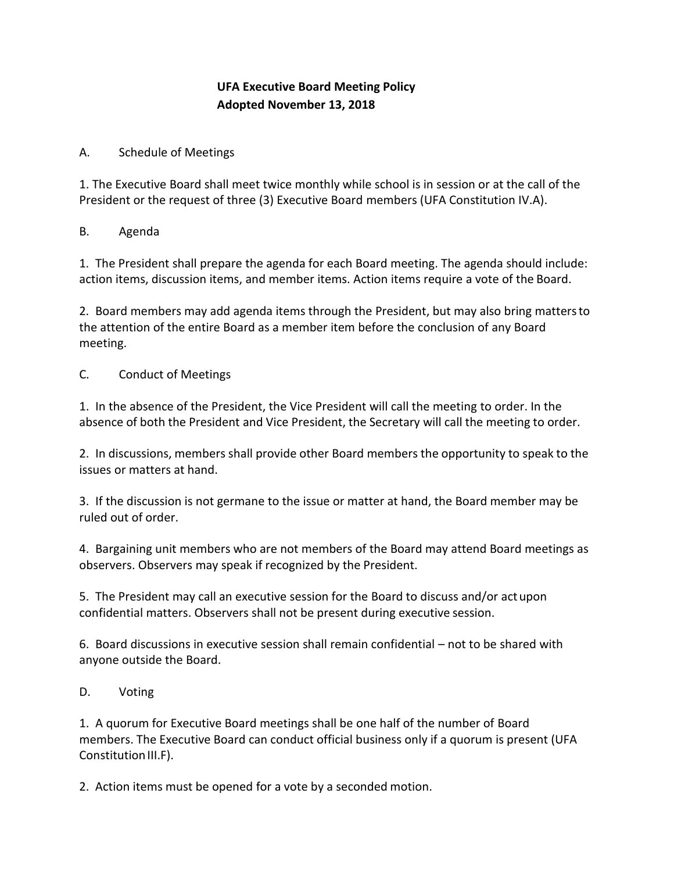# **UFA Executive Board Meeting Policy Adopted November 13, 2018**

#### A. Schedule of Meetings

1. The Executive Board shall meet twice monthly while school is in session or at the call of the President or the request of three (3) Executive Board members (UFA Constitution IV.A).

### B. Agenda

1. The President shall prepare the agenda for each Board meeting. The agenda should include: action items, discussion items, and member items. Action items require a vote of the Board.

2. Board members may add agenda items through the President, but may also bring mattersto the attention of the entire Board as a member item before the conclusion of any Board meeting.

## C. Conduct of Meetings

1. In the absence of the President, the Vice President will call the meeting to order. In the absence of both the President and Vice President, the Secretary will call the meeting to order.

2. In discussions, members shall provide other Board members the opportunity to speak to the issues or matters at hand.

3. If the discussion is not germane to the issue or matter at hand, the Board member may be ruled out of order.

4. Bargaining unit members who are not members of the Board may attend Board meetings as observers. Observers may speak if recognized by the President.

5. The President may call an executive session for the Board to discuss and/or actupon confidential matters. Observers shall not be present during executive session.

6. Board discussions in executive session shall remain confidential – not to be shared with anyone outside the Board.

## D. Voting

1. A quorum for Executive Board meetings shall be one half of the number of Board members. The Executive Board can conduct official business only if a quorum is present (UFA Constitution III.F).

2. Action items must be opened for a vote by a seconded motion.